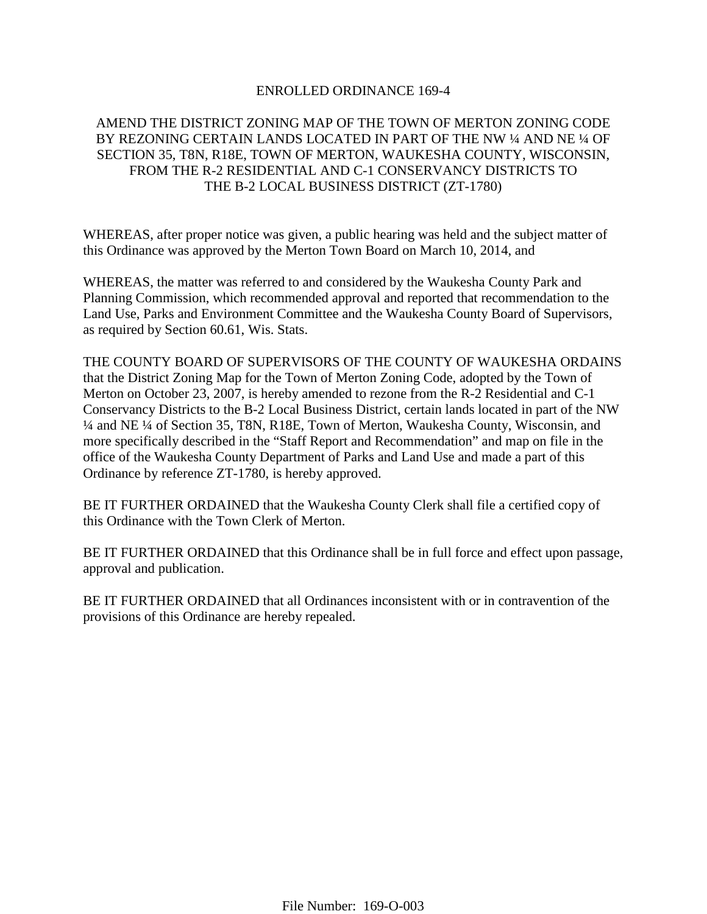# ENROLLED ORDINANCE 169-4

# AMEND THE DISTRICT ZONING MAP OF THE TOWN OF MERTON ZONING CODE BY REZONING CERTAIN LANDS LOCATED IN PART OF THE NW ¼ AND NE ¼ OF SECTION 35, T8N, R18E, TOWN OF MERTON, WAUKESHA COUNTY, WISCONSIN, FROM THE R-2 RESIDENTIAL AND C-1 CONSERVANCY DISTRICTS TO THE B-2 LOCAL BUSINESS DISTRICT (ZT-1780)

WHEREAS, after proper notice was given, a public hearing was held and the subject matter of this Ordinance was approved by the Merton Town Board on March 10, 2014, and

WHEREAS, the matter was referred to and considered by the Waukesha County Park and Planning Commission, which recommended approval and reported that recommendation to the Land Use, Parks and Environment Committee and the Waukesha County Board of Supervisors, as required by Section 60.61, Wis. Stats.

THE COUNTY BOARD OF SUPERVISORS OF THE COUNTY OF WAUKESHA ORDAINS that the District Zoning Map for the Town of Merton Zoning Code, adopted by the Town of Merton on October 23, 2007, is hereby amended to rezone from the R-2 Residential and C-1 Conservancy Districts to the B-2 Local Business District, certain lands located in part of the NW ¼ and NE ¼ of Section 35, T8N, R18E, Town of Merton, Waukesha County, Wisconsin, and more specifically described in the "Staff Report and Recommendation" and map on file in the office of the Waukesha County Department of Parks and Land Use and made a part of this Ordinance by reference ZT-1780, is hereby approved.

BE IT FURTHER ORDAINED that the Waukesha County Clerk shall file a certified copy of this Ordinance with the Town Clerk of Merton.

BE IT FURTHER ORDAINED that this Ordinance shall be in full force and effect upon passage, approval and publication.

BE IT FURTHER ORDAINED that all Ordinances inconsistent with or in contravention of the provisions of this Ordinance are hereby repealed.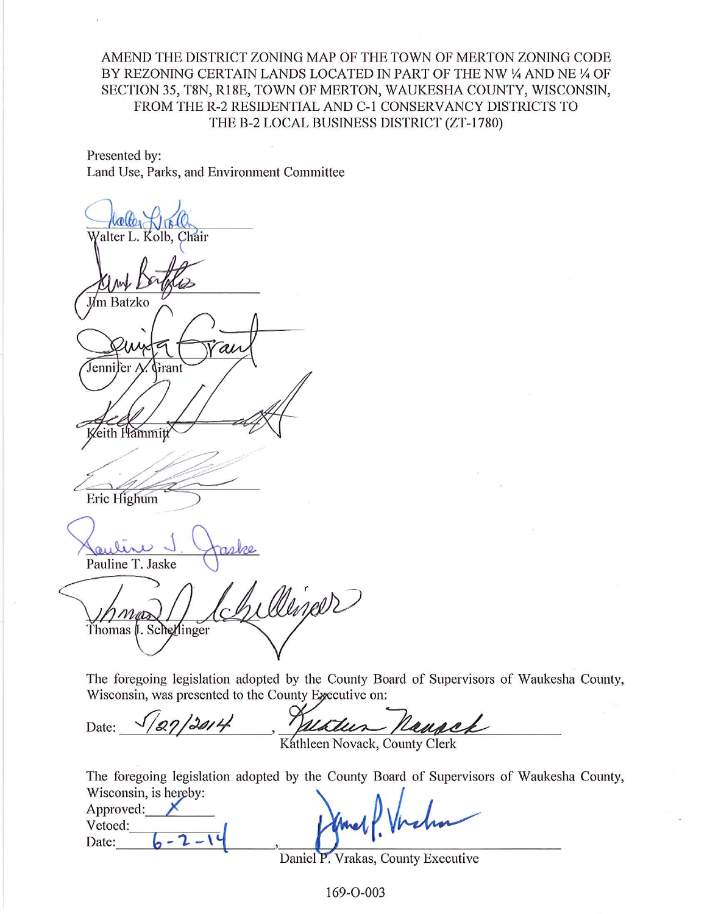AMEND THE DISTRICT ZONING MAP OF THE TOWN OF MERTON ZONING CODE BY REZONING CERTAIN LANDS LOCATED IN PART OF THE NW 1/4 AND NE 1/4 OF SECTION 35, T8N, R18E, TOWN OF MERTON, WAUKESHA COUNTY, WISCONSIN, FROM THE R-2 RESIDENTIAL AND C-1 CONSERVANCY DISTRICTS TO THE B-2 LOCAL BUSINESS DISTRICT (ZT-1780)

Presented by: Land Use, Parks, and Environment Committee

alter L. Kolb. Chair **J**m Batzko al Jennifer A Frant Zeith Hammitt Eric Highum Pauline T. Jaske Dineer Thomas J. Schellinger

The foregoing legislation adopted by the County Board of Supervisors of Waukesha County, Wisconsin, was presented to the County Executive on:

ranch 27/2014 Date:

Kathleen Novack, County Clerk

The foregoing legislation adopted by the County Board of Supervisors of Waukesha County,

| Wisconsin, is hereby: |               |
|-----------------------|---------------|
| Approved:             |               |
| Vetoed:               | Shared Vrchan |
| Date:                 |               |
|                       |               |

Daniel P. Vrakas, County Executive

169-O-003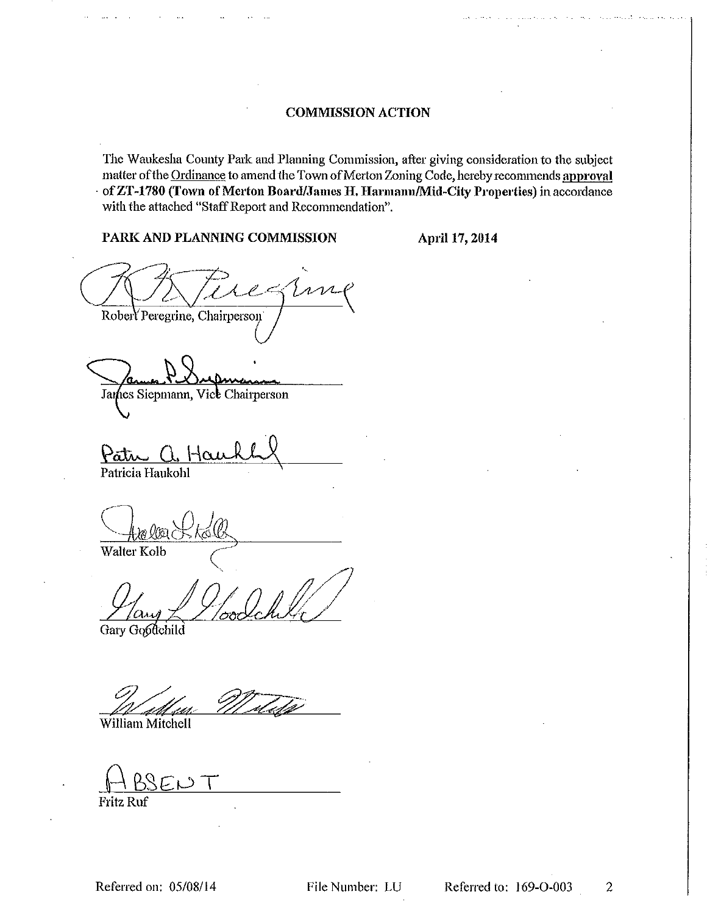# **COMMISSION ACTION**

The Waukesha County Park and Planning Commission, after giving consideration to the subject matter of the Ordinance to amend the Town of Merton Zoning Code, hereby recommends approval of ZT-1780 (Town of Merton Board/James H. Harmann/Mid-City Properties) in accordance with the attached "Staff Report and Recommendation".

# PARK AND PLANNING COMMISSION

April 17, 2014

rn. Robert Peregrine, Chairperson

James Siepmann, Vice Chairperson

Patu Patricia Haukohl

Walter Kolb

Gary Goodchild

William Mitchell

**Fritz Ruf**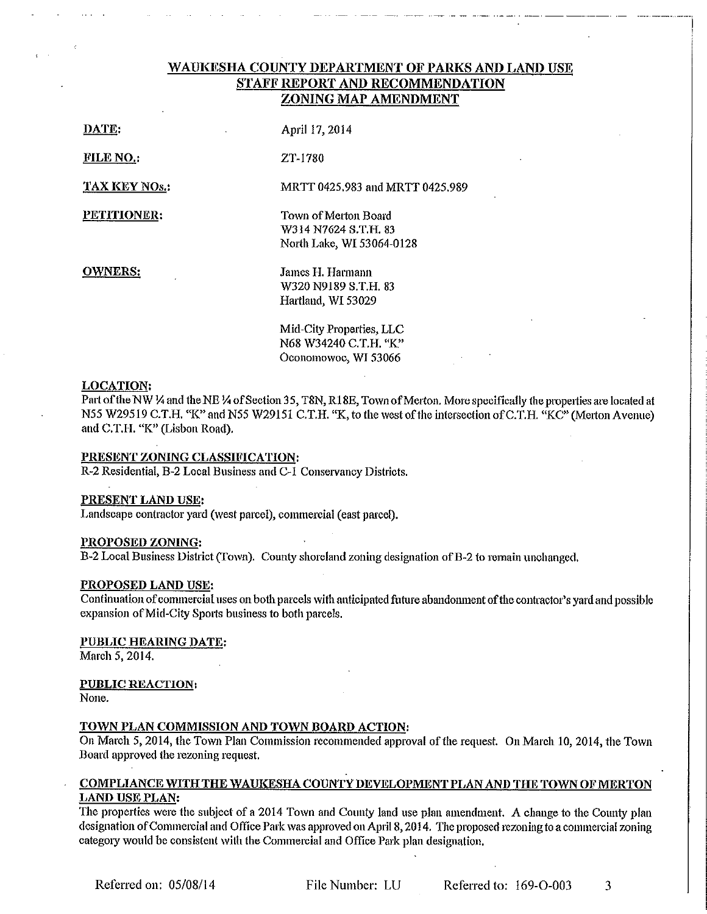# WAUKESHA COUNTY DEPARTMENT OF PARKS AND LAND USE **STAFF REPORT AND RECOMMENDATION** ZONING MAP AMENDMENT

MRTT 0425.983 and MRTT 0425.989

DATE:

April 17, 2014

FILE NO.:

ZT-1780

**TAX KEY NOS.:** 

PETITIONER:

Town of Merton Board W314 N7624 S.T.H. 83 North Lake, WI 53064-0128

**OWNERS:** 

James H. Harmann W320 N9189 S.T.H. 83 Hartland, WI 53029

Mid-City Properties, LLC N68 W34240 C.T.H. "K" Oconomowoc, WI 53066

## **LOCATION:**

Part of the NW 1/4 and the NE 1/4 of Section 35, T8N, R18E, Town of Merton. More specifically the properties are located at N55 W29519 C.T.H. "K" and N55 W29151 C.T.H. "K, to the west of the intersection of C.T.H. "KC" (Merton Avenue) and C.T.H. "K" (Lisbon Road).

## PRESENT ZONING CLASSIFICATION:

R-2 Residential, B-2 Local Business and C-1 Conservancy Districts.

#### PRESENT LAND USE:

Landscape contractor yard (west parcel), commercial (east parcel).

#### PROPOSED ZONING:

B-2 Local Business District (Town). County shoreland zoning designation of B-2 to remain unchanged.

#### PROPOSED LAND USE:

Continuation of commercial uses on both parcels with anticipated future abandonment of the contractor's yard and possible expansion of Mid-City Sports business to both parcels.

## PUBLIC HEARING DATE:

March 5, 2014.

## **PUBLIC REACTION:**

None.

## TOWN PLAN COMMISSION AND TOWN BOARD ACTION:

On March 5, 2014, the Town Plan Commission recommended approval of the request. On March 10, 2014, the Town Board approved the rezoning request.

## COMPLIANCE WITH THE WAUKESHA COUNTY DEVELOPMENT PLAN AND THE TOWN OF MERTON **LAND USE PLAN:**

The properties were the subject of a 2014 Town and County land use plan amendment. A change to the County plan designation of Commercial and Office Park was approved on April 8, 2014. The proposed rezoning to a commercial zoning category would be consistent with the Commercial and Office Park plan designation.

File Number: LU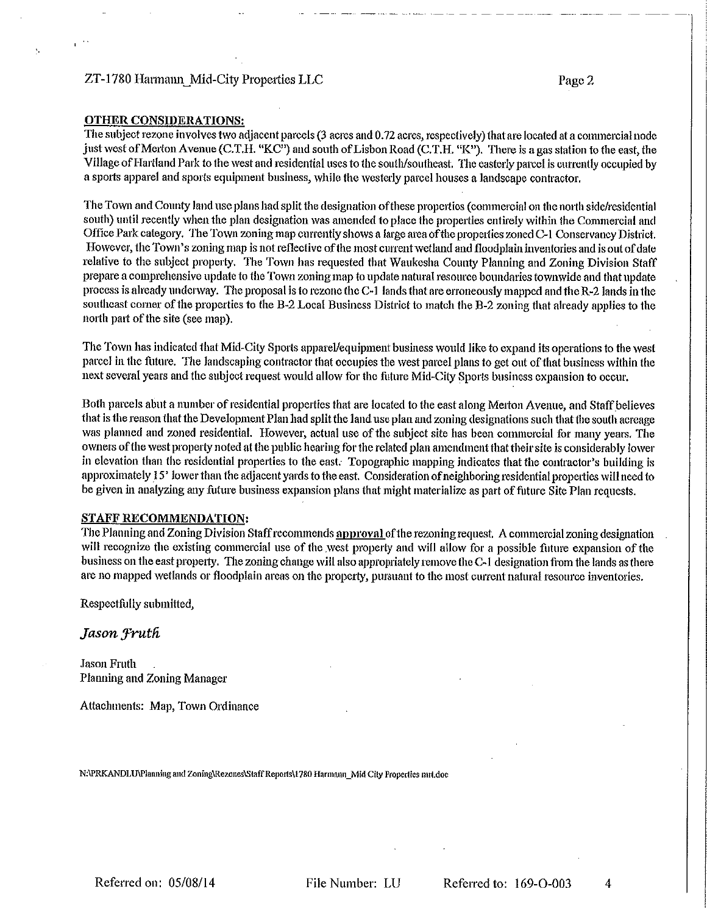# ZT-1780 Harmann Mid-City Properties LLC

## **OTHER CONSIDERATIONS:**

 $\mathbf{s}_i$ 

The subject rezone involves two adjacent parcels (3 acres and 0.72 acres, respectively) that are located at a commercial node just west of Merton Avenue (C.T.H. "KC") and south of Lisbon Road (C.T.H. "K"). There is a gas station to the east, the Village of Hartland Park to the west and residential uses to the south/southeast. The easterly parcel is currently occupied by a sports apparel and sports equipment business, while the westerly parcel houses a landscape contractor.

The Town and County land use plans had split the designation of these properties (commercial on the north side/residential south) until recently when the plan designation was amended to place the properties entirely within the Commercial and Office Park category. The Town zoning map currently shows a large area of the properties zoned C-1 Conservancy District. However, the Town's zoning map is not reflective of the most current wetland and floodplain inventories and is out of date relative to the subject property. The Town has requested that Waukesha County Planning and Zoning Division Staff prepare a comprehensive update to the Town zoning map to update natural resource boundaries townwide and that update process is already underway. The proposal is to rezone the C-1 lands that are erroneously mapped and the R-2 lands in the southeast corner of the properties to the B-2 Local Business District to match the B-2 zoning that already applies to the north part of the site (see map).

The Town has indicated that Mid-City Sports apparel/equipment business would like to expand its operations to the west parcel in the future. The landscaping contractor that occupies the west parcel plans to get out of that business within the next several years and the subject request would allow for the future Mid-City Sports business expansion to occur.

Both parcels abut a number of residential properties that are located to the east along Merton Ayenue, and Staff believes that is the reason that the Development Plan had split the land use plan and zoning designations such that the south acreage was planned and zoned residential. However, actual use of the subject site has been commercial for many years. The owners of the west property noted at the public hearing for the related plan amendment that their site is considerably lower in elevation than the residential properties to the east. Topographic mapping indicates that the contractor's building is approximately 15' lower than the adjacent yards to the east. Consideration of neighboring residential properties will need to be given in analyzing any future business expansion plans that might materialize as part of future Site Plan requests.

#### **STAFF RECOMMENDATION:**

The Planning and Zoning Division Staff recommends approval of the rezoning request. A commercial zoning designation will recognize the existing commercial use of the west property and will allow for a possible future expansion of the business on the east property. The zoning change will also appropriately remove the C-1 designation from the lands as there are no mapped wetlands or floodplain areas on the property, pursuant to the most current natural resource inventories.

Respectfully submitted,

Jason Fruth

Jason Fruth Planning and Zoning Manager

Attachments: Map, Town Ordinance

N:\PRKANDLU\Planning and Zoning\Rezones\Staff Reports\1780 Harmann Mid City Properties mrt.doc

File Number: LU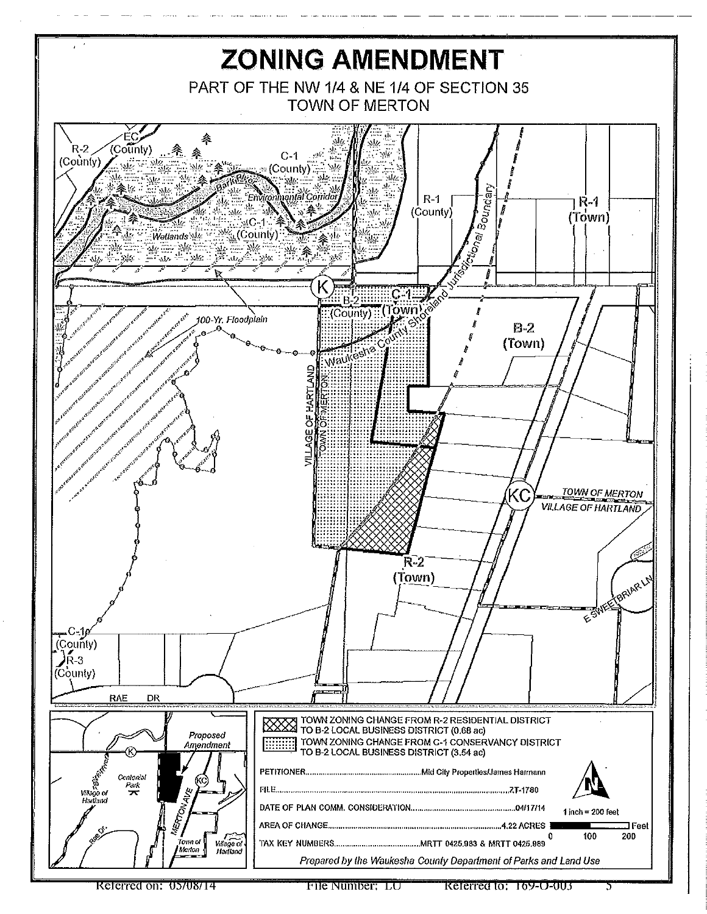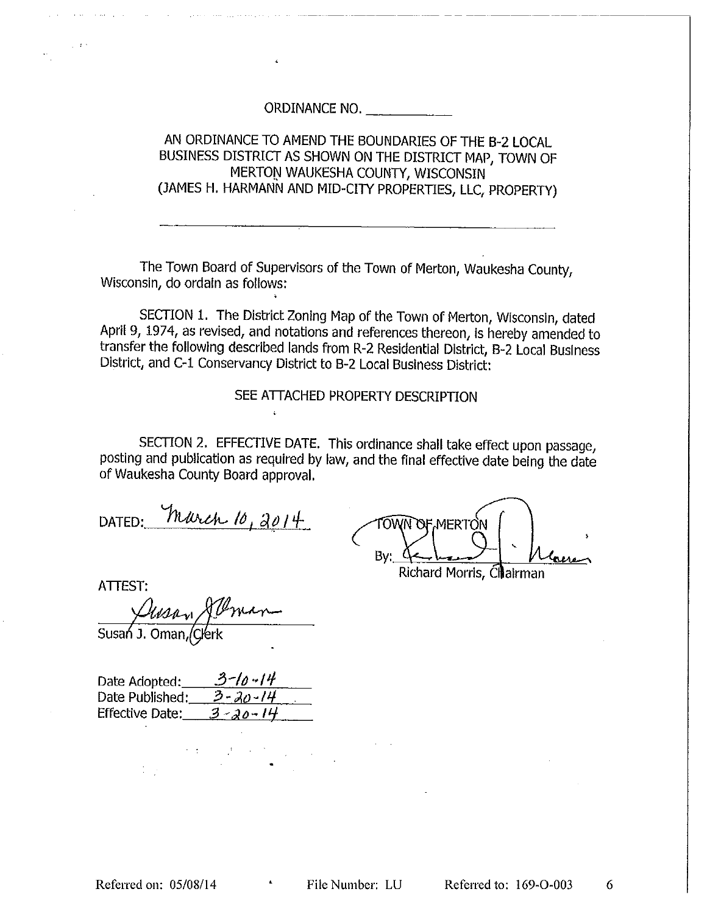AN ORDINANCE TO AMEND THE BOUNDARIES OF THE B-2 LOCAL. BUSINESS DISTRICT AS SHOWN ON THE DISTRICT MAP, TOWN OF MERTON WAUKESHA COUNTY, WISCONSIN (JAMES H. HARMANN AND MID-CITY PROPERTIES, LLC, PROPERTY)

The Town Board of Supervisors of the Town of Merton, Waukesha County, Wisconsin, do ordain as follows:

SECTION 1. The District Zoning Map of the Town of Merton, Wisconsin, dated April 9, 1974, as revised, and notations and references thereon, is hereby amended to transfer the following described lands from R-2 Residential District, B-2 Local Business District, and C-1 Conservancy District to B-2 Local Business District:

SEE ATTACHED PROPERTY DESCRIPTION

SECTION 2. EFFECTIVE DATE. This ordinance shall take effect upon passage, posting and publication as required by law, and the final effective date being the date of Waukesha County Board approval.

 $\ddot{\cdot}$ 

DATED: March 10, 2014

TOWN OF MERTON By: Richard Morris, Chairman

**ATTEST:** 

Susan J. Oman, Clerk

 $3 - 10 - 14$ Date Adopted: Date Published:  $3 - 30 - 14$  $3 - 20 - 14$ **Effective Date:** 

6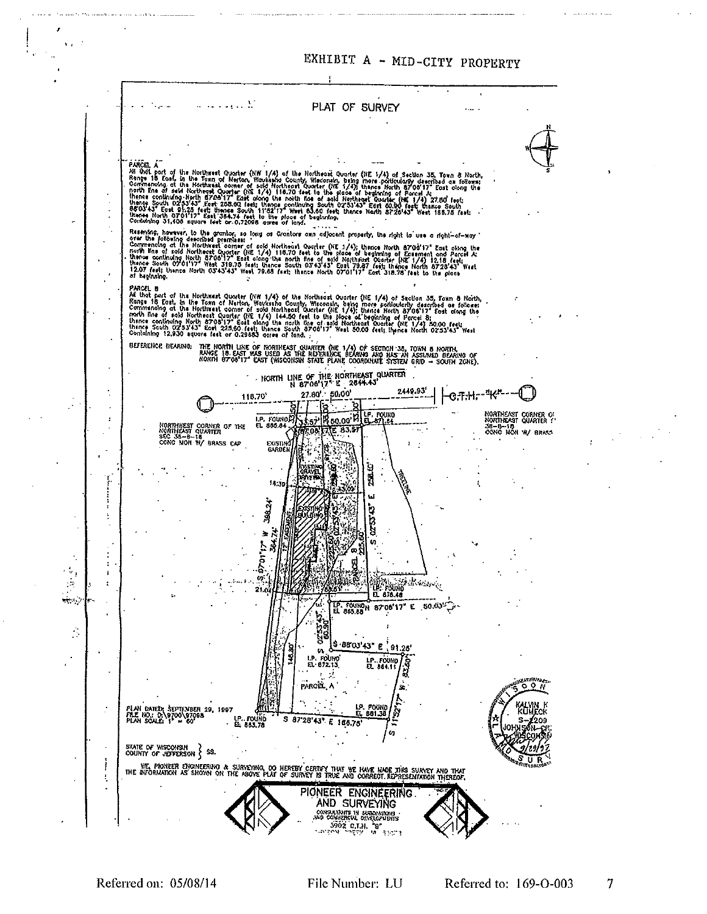

Referred on: 05/08/14

 $\overline{7}$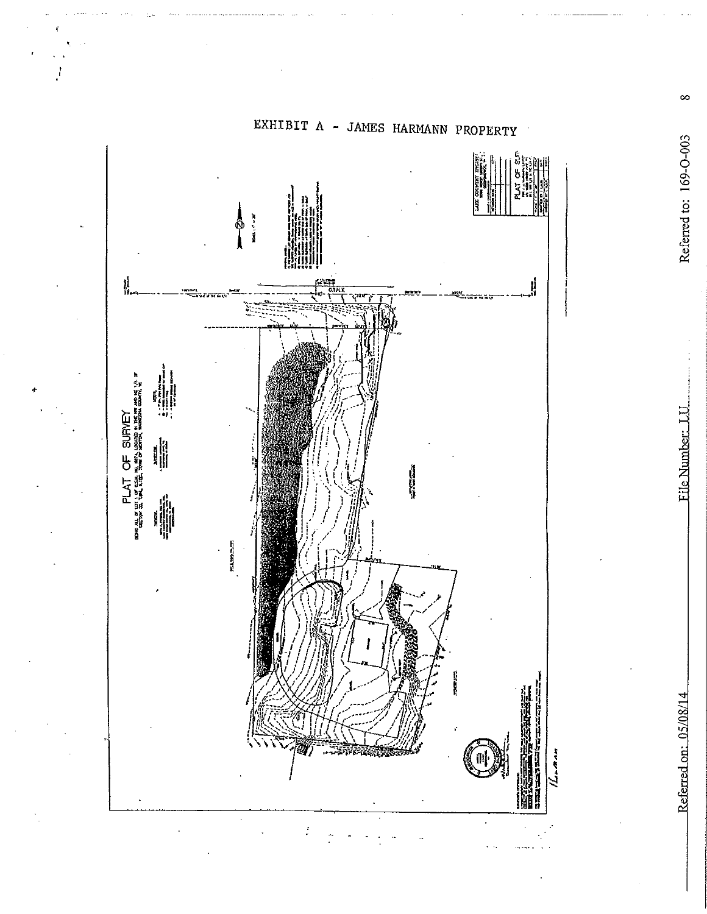

EXHIBIT A - JAMES HARMANN PROPERTY

File Number: LU

 $\infty$ Referred to: 169-O-003